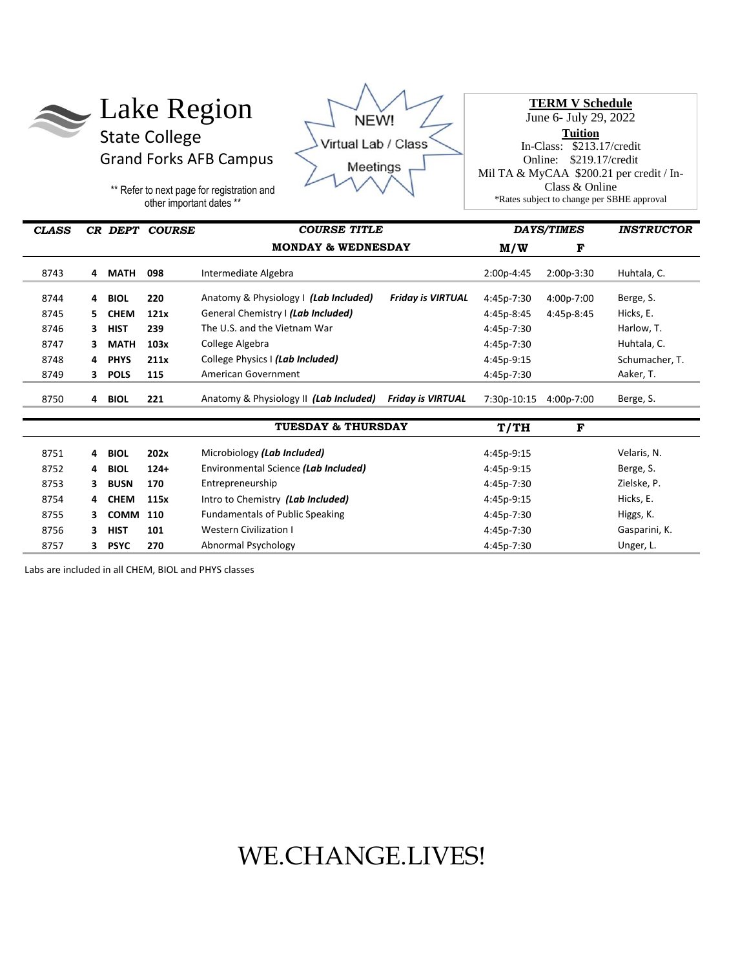



**TERM V Schedule**  June 6- July 29, 2022 **Tuition** In-Class: \$213.17/credit Online: \$219.17/credit Mil TA & MyCAA \$200.21 per credit / In-Class & Online \*Rates subject to change per SBHE approval

\*\* Refer to next page for registration and other important dates \*\*

| <b>CLASS</b> |    |             | CR DEPT COURSE | <b>COURSE TITLE</b>                    |                          | <b>DAYS/TIMES</b> |            | <b>INSTRUCTOR</b> |
|--------------|----|-------------|----------------|----------------------------------------|--------------------------|-------------------|------------|-------------------|
|              |    |             |                | <b>MONDAY &amp; WEDNESDAY</b>          |                          | M/W               | F          |                   |
| 8743         | 4  | MATH        | 098            | Intermediate Algebra                   |                          | 2:00p-4:45        | 2:00p-3:30 | Huhtala, C.       |
| 8744         | 4  | <b>BIOL</b> | 220            | Anatomy & Physiology   (Lab Included)  | <b>Friday is VIRTUAL</b> | 4:45p-7:30        | 4:00p-7:00 | Berge, S.         |
| 8745         | 5. | <b>CHEM</b> | 121x           | General Chemistry I (Lab Included)     |                          | 4:45p-8:45        | 4:45p-8:45 | Hicks, E.         |
| 8746         | 3  | <b>HIST</b> | 239            | The U.S. and the Vietnam War           |                          | 4:45p-7:30        |            | Harlow, T.        |
| 8747         | 3  | <b>MATH</b> | 103x           | College Algebra                        |                          | 4:45p-7:30        |            | Huhtala, C.       |
| 8748         | 4  | <b>PHYS</b> | 211x           | College Physics   (Lab Included)       |                          | 4:45p-9:15        |            | Schumacher, T.    |
| 8749         | 3  | <b>POLS</b> | 115            | American Government                    |                          | 4:45p-7:30        |            | Aaker, T.         |
| 8750         | 4  | <b>BIOL</b> | 221            | Anatomy & Physiology II (Lab Included) | <b>Friday is VIRTUAL</b> | 7:30p-10:15       | 4:00p-7:00 | Berge, S.         |
|              |    |             |                | <b>TUESDAY &amp; THURSDAY</b>          | T/TH                     | F                 |            |                   |
| 8751         | 4  | <b>BIOL</b> | 202x           | Microbiology (Lab Included)            |                          | 4:45p-9:15        |            | Velaris, N.       |
| 8752         | 4  | <b>BIOL</b> | $124+$         | Environmental Science (Lab Included)   |                          | 4:45p-9:15        |            | Berge, S.         |
| 8753         | 3  | <b>BUSN</b> | 170            | Entrepreneurship                       |                          | 4:45p-7:30        |            | Zielske, P.       |
| 8754         | 4  | <b>CHEM</b> | 115x           | Intro to Chemistry (Lab Included)      |                          | 4:45p-9:15        |            | Hicks, E.         |
| 8755         | 3  | <b>COMM</b> | 110            | <b>Fundamentals of Public Speaking</b> |                          | 4:45p-7:30        |            | Higgs, K.         |
| 8756         | 3  | <b>HIST</b> | 101            | <b>Western Civilization I</b>          |                          | 4:45p-7:30        |            | Gasparini, K.     |
| 8757         | 3  | <b>PSYC</b> | 270            | Abnormal Psychology                    |                          | 4:45p-7:30        |            | Unger, L.         |

Labs are included in all CHEM, BIOL and PHYS classes

## WE.CHANGE.LIVES!